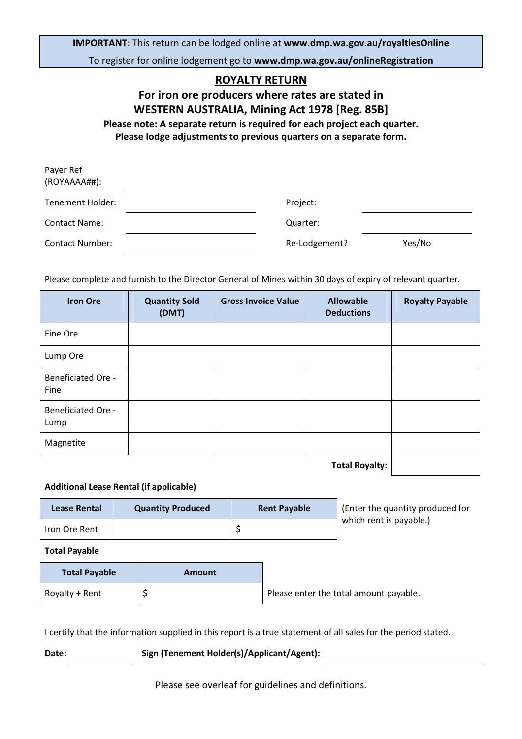IMPORTANT: This return can be lodged online at www.dmp.wa.gov.au/royaltiesOnline To register for online lodgement go to www.dmp.wa.gov.au/onlineRegistration

## ROYALTY RETURN

For iron ore producers where rates are stated in WESTERN AUSTRALIA, Mining Act 1978 [Reg. 85B] Please note: A separate return is required for each project each quarter. Please lodge adjustments to previous quarters on a separate form.

| Payer Ref<br>(ROYAAAA##): |               |        |
|---------------------------|---------------|--------|
| Tenement Holder:          | Project:      |        |
| <b>Contact Name:</b>      | Quarter:      |        |
| <b>Contact Number:</b>    | Re-Lodgement? | Yes/No |

Please complete and furnish to the Director General of Mines within 30 days of expiry of relevant quarter.

| <b>Iron Ore</b>                   | <b>Quantity Sold</b><br>(DMT) | <b>Gross Invoice Value</b> | <b>Allowable</b><br><b>Deductions</b> | <b>Royalty Payable</b> |
|-----------------------------------|-------------------------------|----------------------------|---------------------------------------|------------------------|
| Fine Ore                          |                               |                            |                                       |                        |
| Lump Ore                          |                               |                            |                                       |                        |
| <b>Beneficiated Ore -</b><br>Fine |                               |                            |                                       |                        |
| <b>Beneficiated Ore -</b><br>Lump |                               |                            |                                       |                        |
| Magnetite                         |                               |                            |                                       |                        |
|                                   |                               |                            | <b>Total Rovalty:</b>                 |                        |

Total Royany. <sub>L</sub>

## Additional Lease Rental (if applicable)

| Lease Rental  | <b>Quantity Produced</b> | <b>Rent Payable</b> | (Enter the quantity produced for |
|---------------|--------------------------|---------------------|----------------------------------|
| Iron Ore Rent |                          |                     | which rent is payable.)          |

Total Payable

| <b>Total Payable</b> | <b>Amount</b> |                                        |
|----------------------|---------------|----------------------------------------|
| Royalty + Rent       |               | Please enter the total amount payable. |

I certify that the information supplied in this report is a true statement of all sales for the period stated.

Date: Sign (Tenement Holder(s)/Applicant/Agent):

Please see overleaf for guidelines and definitions.